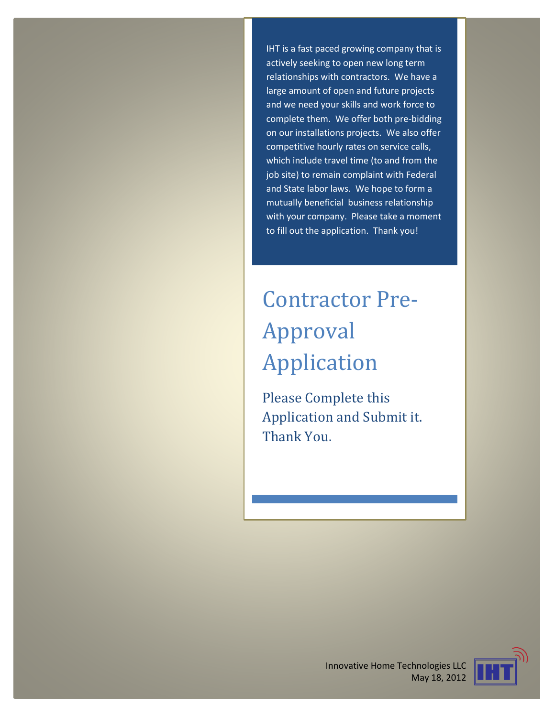IHT is a fast paced growing company that is actively seeking to open new long term relationships with contractors. We have a large amount of open and future projects and we need your skills and work force to complete them. We offer both pre-bidding on our installations projects. We also offer competitive hourly rates on service calls, which include travel time (to and from the job site) to remain complaint with Federal and State labor laws. We hope to form a mutually beneficial business relationship with your company. Please take a moment to fill out the application. Thank you!

## Contractor Pre-Approval Application

Please Complete this Application and Submit it. Thank You.



Innovative Home Technologies LLC May 18, 2012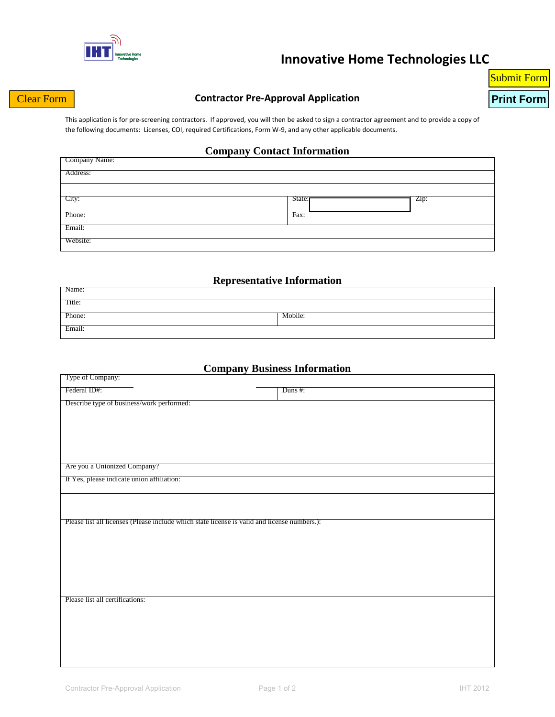

### **Innovative Home Technologies LLC**

# Submit Form

#### **Clear Form CONTRIGHT CONTACT PRE-Approval Application Clear Form Print Form**

This application is for pre-screening contractors. If approved, you will then be asked to sign a contractor agreement and to provide a copy of the following documents: Licenses, COI, required Certifications, Form W-9, and any other applicable documents.

#### **Company Contact Information**

| Company Name: |        |      |
|---------------|--------|------|
| Address:      |        |      |
|               |        |      |
| City:         | State: | Zip: |
| Phone:        | Fax:   |      |
| Email:        |        |      |
| Website:      |        |      |

#### **Representative Information**

| Name:  |         |
|--------|---------|
| Title: |         |
| Phone: | Mobile: |
| Email: |         |

#### **Company Business Information**

| Type of Company:                                                                             |
|----------------------------------------------------------------------------------------------|
| Federal ID#:<br>Duns $#$ :                                                                   |
| Describe type of business/work performed:                                                    |
|                                                                                              |
|                                                                                              |
|                                                                                              |
|                                                                                              |
|                                                                                              |
| Are you a Unionized Company?                                                                 |
| If Yes, please indicate union affiliation:                                                   |
|                                                                                              |
|                                                                                              |
|                                                                                              |
| Please list all licenses (Please include which state license is valid and license numbers.): |
|                                                                                              |
|                                                                                              |
|                                                                                              |
|                                                                                              |
|                                                                                              |
| Please list all certifications:                                                              |
|                                                                                              |
|                                                                                              |
|                                                                                              |
|                                                                                              |
|                                                                                              |
|                                                                                              |